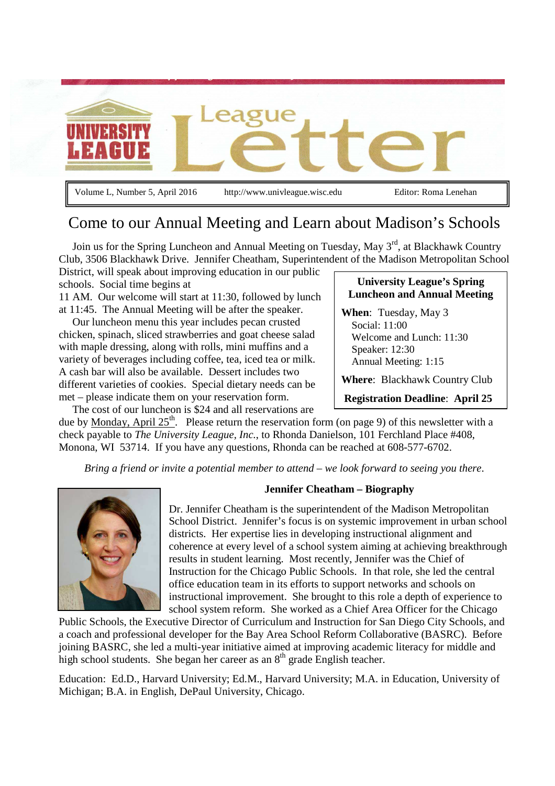

Volume L, Number 5, April 2016 http://www.univleague.wisc.edu Editor: Roma Lenehan

# Come to our Annual Meeting and Learn about Madison's Schools

Join us for the Spring Luncheon and Annual Meeting on Tuesday, May 3<sup>rd</sup>, at Blackhawk Country Club, 3506 Blackhawk Drive. Jennifer Cheatham, Superintendent of the Madison Metropolitan School District, will speak about improving education in our public

schools. Social time begins at

11 AM. Our welcome will start at 11:30, followed by lunch at 11:45. The Annual Meeting will be after the speaker.

 Our luncheon menu this year includes pecan crusted chicken, spinach, sliced strawberries and goat cheese salad with maple dressing, along with rolls, mini muffins and a variety of beverages including coffee, tea, iced tea or milk. A cash bar will also be available. Dessert includes two different varieties of cookies. Special dietary needs can be met – please indicate them on your reservation form.

The cost of our luncheon is \$24 and all reservations are

#### **University League's Spring Luncheon and Annual Meeting**

**When**: Tuesday, May 3 Social: 11:00 Welcome and Lunch: 11:30 Speaker: 12:30 Annual Meeting: 1:15

**Where**: Blackhawk Country Club

**Registration Deadline**: **April 25**

due by Monday, April  $25<sup>th</sup>$ . Please return the reservation form (on page 9) of this newsletter with a check payable to *The University League, Inc.*, to Rhonda Danielson, 101 Ferchland Place #408, Monona, WI 53714. If you have any questions, Rhonda can be reached at 608-577-6702.

*Bring a friend or invite a potential member to attend – we look forward to seeing you there*.



#### **Jennifer Cheatham – Biography**

Dr. Jennifer Cheatham is the superintendent of the Madison Metropolitan School District. Jennifer's focus is on systemic improvement in urban school districts. Her expertise lies in developing instructional alignment and coherence at every level of a school system aiming at achieving breakthrough results in student learning. Most recently, Jennifer was the Chief of Instruction for the Chicago Public Schools. In that role, she led the central office education team in its efforts to support networks and schools on instructional improvement. She brought to this role a depth of experience to school system reform. She worked as a Chief Area Officer for the Chicago

Public Schools, the Executive Director of Curriculum and Instruction for San Diego City Schools, and a coach and professional developer for the Bay Area School Reform Collaborative (BASRC). Before joining BASRC, she led a multi-year initiative aimed at improving academic literacy for middle and high school students. She began her career as an 8<sup>th</sup> grade English teacher.

Education: Ed.D., Harvard University; Ed.M., Harvard University; M.A. in Education, University of Michigan; B.A. in English, DePaul University, Chicago.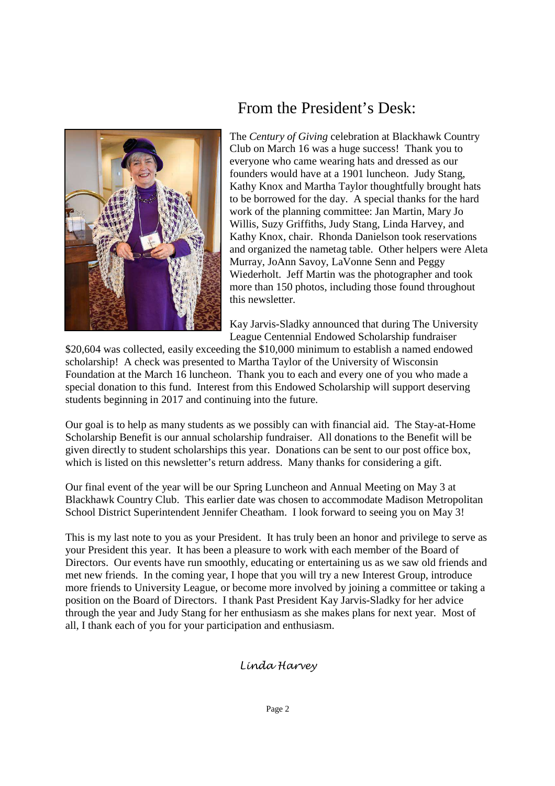

# From the President's Desk:

The *Century of Giving* celebration at Blackhawk Country Club on March 16 was a huge success! Thank you to everyone who came wearing hats and dressed as our founders would have at a 1901 luncheon. Judy Stang, Kathy Knox and Martha Taylor thoughtfully brought hats to be borrowed for the day. A special thanks for the hard work of the planning committee: Jan Martin, Mary Jo Willis, Suzy Griffiths, Judy Stang, Linda Harvey, and Kathy Knox, chair. Rhonda Danielson took reservations and organized the nametag table. Other helpers were Aleta Murray, JoAnn Savoy, LaVonne Senn and Peggy Wiederholt. Jeff Martin was the photographer and took more than 150 photos, including those found throughout this newsletter.

Kay Jarvis-Sladky announced that during The University League Centennial Endowed Scholarship fundraiser

\$20,604 was collected, easily exceeding the \$10,000 minimum to establish a named endowed scholarship! A check was presented to Martha Taylor of the University of Wisconsin Foundation at the March 16 luncheon. Thank you to each and every one of you who made a special donation to this fund. Interest from this Endowed Scholarship will support deserving students beginning in 2017 and continuing into the future.

Our goal is to help as many students as we possibly can with financial aid. The Stay-at-Home Scholarship Benefit is our annual scholarship fundraiser. All donations to the Benefit will be given directly to student scholarships this year. Donations can be sent to our post office box, which is listed on this newsletter's return address. Many thanks for considering a gift.

Our final event of the year will be our Spring Luncheon and Annual Meeting on May 3 at Blackhawk Country Club. This earlier date was chosen to accommodate Madison Metropolitan School District Superintendent Jennifer Cheatham. I look forward to seeing you on May 3!

This is my last note to you as your President. It has truly been an honor and privilege to serve as your President this year. It has been a pleasure to work with each member of the Board of Directors. Our events have run smoothly, educating or entertaining us as we saw old friends and met new friends. In the coming year, I hope that you will try a new Interest Group, introduce more friends to University League, or become more involved by joining a committee or taking a position on the Board of Directors. I thank Past President Kay Jarvis-Sladky for her advice through the year and Judy Stang for her enthusiasm as she makes plans for next year. Most of all, I thank each of you for your participation and enthusiasm.

### Linda Harvey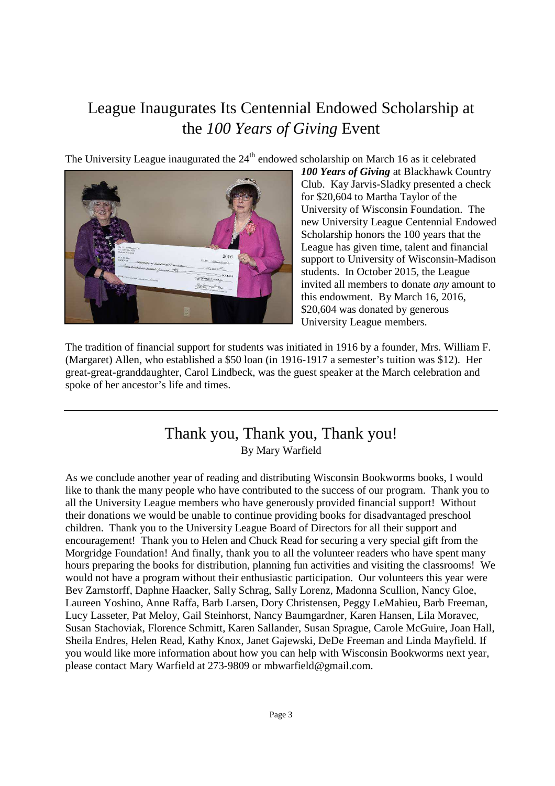# League Inaugurates Its Centennial Endowed Scholarship at the *100 Years of Giving* Event

The University League inaugurated the  $24<sup>th</sup>$  endowed scholarship on March 16 as it celebrated



*100 Years of Giving* at Blackhawk Country Club. Kay Jarvis-Sladky presented a check for \$20,604 to Martha Taylor of the University of Wisconsin Foundation. The new University League Centennial Endowed Scholarship honors the 100 years that the League has given time, talent and financial support to University of Wisconsin-Madison students. In October 2015, the League invited all members to donate *any* amount to this endowment. By March 16, 2016, \$20,604 was donated by generous University League members.

The tradition of financial support for students was initiated in 1916 by a founder, Mrs. William F. (Margaret) Allen, who established a \$50 loan (in 1916-1917 a semester's tuition was \$12). Her great-great-granddaughter, Carol Lindbeck, was the guest speaker at the March celebration and spoke of her ancestor's life and times.

### Thank you, Thank you, Thank you! By Mary Warfield

As we conclude another year of reading and distributing Wisconsin Bookworms books, I would like to thank the many people who have contributed to the success of our program. Thank you to all the University League members who have generously provided financial support! Without their donations we would be unable to continue providing books for disadvantaged preschool children. Thank you to the University League Board of Directors for all their support and encouragement! Thank you to Helen and Chuck Read for securing a very special gift from the Morgridge Foundation! And finally, thank you to all the volunteer readers who have spent many hours preparing the books for distribution, planning fun activities and visiting the classrooms! We would not have a program without their enthusiastic participation. Our volunteers this year were Bev Zarnstorff, Daphne Haacker, Sally Schrag, Sally Lorenz, Madonna Scullion, Nancy Gloe, Laureen Yoshino, Anne Raffa, Barb Larsen, Dory Christensen, Peggy LeMahieu, Barb Freeman, Lucy Lasseter, Pat Meloy, Gail Steinhorst, Nancy Baumgardner, Karen Hansen, Lila Moravec, Susan Stachoviak, Florence Schmitt, Karen Sallander, Susan Sprague, Carole McGuire, Joan Hall, Sheila Endres, Helen Read, Kathy Knox, Janet Gajewski, DeDe Freeman and Linda Mayfield. If you would like more information about how you can help with Wisconsin Bookworms next year, please contact Mary Warfield at 273-9809 or mbwarfield@gmail.com.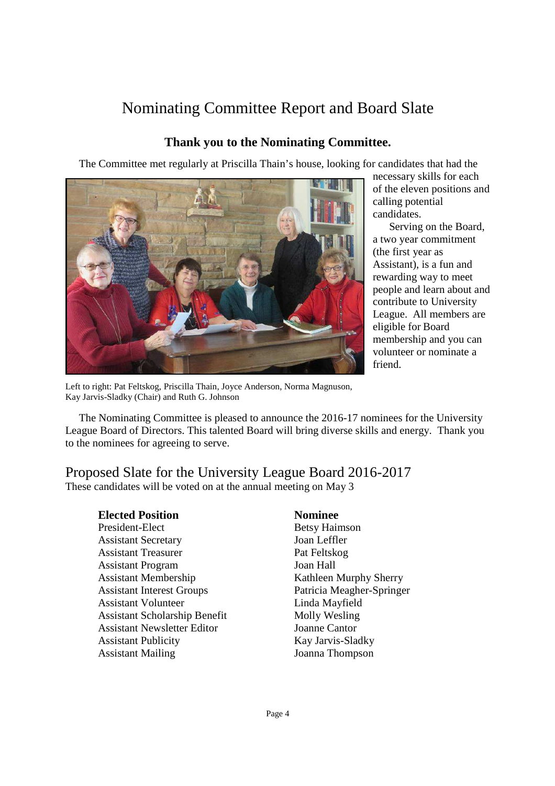# Nominating Committee Report and Board Slate

### **Thank you to the Nominating Committee.**

The Committee met regularly at Priscilla Thain's house, looking for candidates that had the



necessary skills for each of the eleven positions and calling potential candidates.

 Serving on the Board, a two year commitment (the first year as Assistant), is a fun and rewarding way to meet people and learn about and contribute to University League. All members are eligible for Board membership and you can volunteer or nominate a friend.

Left to right: Pat Feltskog, Priscilla Thain, Joyce Anderson, Norma Magnuson, Kay Jarvis-Sladky (Chair) and Ruth G. Johnson

 The Nominating Committee is pleased to announce the 2016-17 nominees for the University League Board of Directors. This talented Board will bring diverse skills and energy. Thank you to the nominees for agreeing to serve.

#### Proposed Slate for the University League Board 2016-2017 These candidates will be voted on at the annual meeting on May 3

President-Elect Betsy Haimson Assistant Secretary Joan Leffler Assistant Treasurer Pat Feltskog Assistant Program Joan Hall Assistant Membership Kathleen Murphy Sherry Assistant Interest Groups Patricia Meagher-Springer Assistant Volunteer Linda Mayfield Assistant Scholarship Benefit Molly Wesling Assistant Newsletter Editor Joanne Cantor Assistant Publicity Kay Jarvis-Sladky Assistant Mailing Joanna Thompson

### **Elected Position Nominee**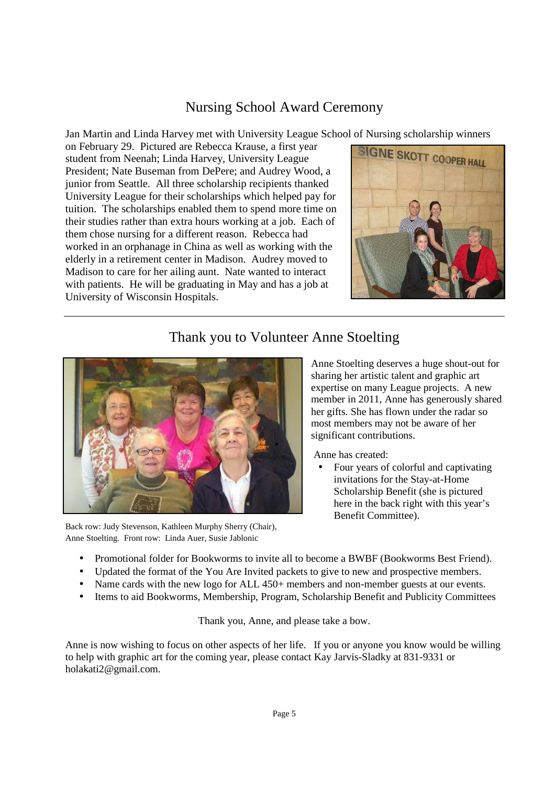### Nursing School Award Ceremony

Jan Martin and Linda Harvey met with University League School of Nursing scholarship winners

on February 29. Pictured are Rebecca Krause, a first year student from Neenah; Linda Harvey, University League President; Nate Buseman from DePere; and Audrey Wood, a junior from Seattle. All three scholarship recipients thanked University League for their scholarships which helped pay for tuition. The scholarships enabled them to spend more time on their studies rather than extra hours working at a job. Each of them chose nursing for a different reason. Rebecca had worked in an orphanage in China as well as working with the elderly in a retirement center in Madison. Audrey moved to Madison to care for her ailing aunt. Nate wanted to interact with patients. He will be graduating in May and has a job at University of Wisconsin Hospitals.



## Thank you to Volunteer Anne Stoelting



Back row: Judy Stevenson, Kathleen Murphy Sherry (Chair), Anne Stoelting. Front row: Linda Auer, Susie Jablonic

Anne Stoelting deserves a huge shout-out for sharing her artistic talent and graphic art expertise on many League projects. A new member in 2011, Anne has generously shared her gifts. She has flown under the radar so most members may not be aware of her significant contributions.

Anne has created:

- Four years of colorful and captivating invitations for the Stay-at-Home Scholarship Benefit (she is pictured here in the back right with this year's Benefit Committee).
- Promotional folder for Bookworms to invite all to become a BWBF (Bookworms Best Friend).
- Updated the format of the You Are Invited packets to give to new and prospective members.
- Name cards with the new logo for ALL 450+ members and non-member guests at our events.
- Items to aid Bookworms, Membership, Program, Scholarship Benefit and Publicity Committees

Thank you, Anne, and please take a bow.

Anne is now wishing to focus on other aspects of her life. If you or anyone you know would be willing to help with graphic art for the coming year, please contact Kay Jarvis-Sladky at 831-9331 or holakati2@gmail.com.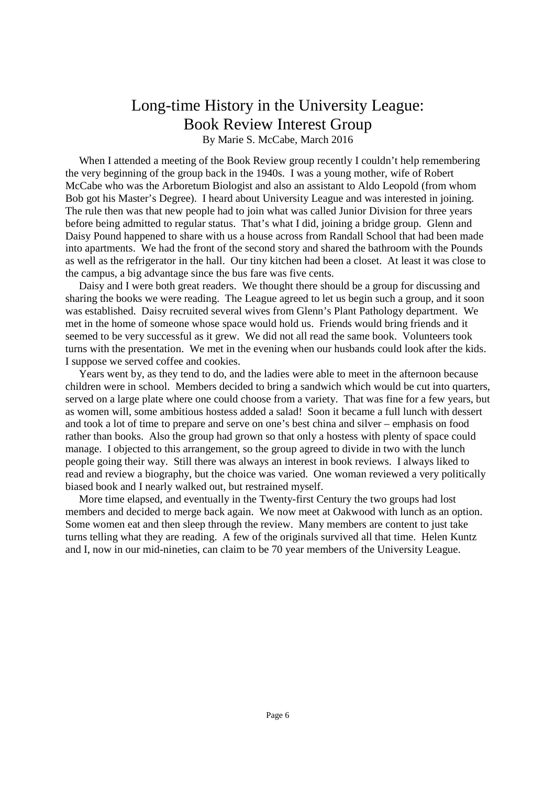### Long-time History in the University League: Book Review Interest Group By Marie S. McCabe, March 2016

When I attended a meeting of the Book Review group recently I couldn't help remembering the very beginning of the group back in the 1940s. I was a young mother, wife of Robert McCabe who was the Arboretum Biologist and also an assistant to Aldo Leopold (from whom Bob got his Master's Degree). I heard about University League and was interested in joining. The rule then was that new people had to join what was called Junior Division for three years before being admitted to regular status. That's what I did, joining a bridge group. Glenn and Daisy Pound happened to share with us a house across from Randall School that had been made into apartments. We had the front of the second story and shared the bathroom with the Pounds as well as the refrigerator in the hall. Our tiny kitchen had been a closet. At least it was close to the campus, a big advantage since the bus fare was five cents.

 Daisy and I were both great readers. We thought there should be a group for discussing and sharing the books we were reading. The League agreed to let us begin such a group, and it soon was established. Daisy recruited several wives from Glenn's Plant Pathology department. We met in the home of someone whose space would hold us. Friends would bring friends and it seemed to be very successful as it grew. We did not all read the same book. Volunteers took turns with the presentation. We met in the evening when our husbands could look after the kids. I suppose we served coffee and cookies.

 Years went by, as they tend to do, and the ladies were able to meet in the afternoon because children were in school. Members decided to bring a sandwich which would be cut into quarters, served on a large plate where one could choose from a variety. That was fine for a few years, but as women will, some ambitious hostess added a salad! Soon it became a full lunch with dessert and took a lot of time to prepare and serve on one's best china and silver – emphasis on food rather than books. Also the group had grown so that only a hostess with plenty of space could manage. I objected to this arrangement, so the group agreed to divide in two with the lunch people going their way. Still there was always an interest in book reviews. I always liked to read and review a biography, but the choice was varied. One woman reviewed a very politically biased book and I nearly walked out, but restrained myself.

 More time elapsed, and eventually in the Twenty-first Century the two groups had lost members and decided to merge back again. We now meet at Oakwood with lunch as an option. Some women eat and then sleep through the review. Many members are content to just take turns telling what they are reading. A few of the originals survived all that time. Helen Kuntz and I, now in our mid-nineties, can claim to be 70 year members of the University League.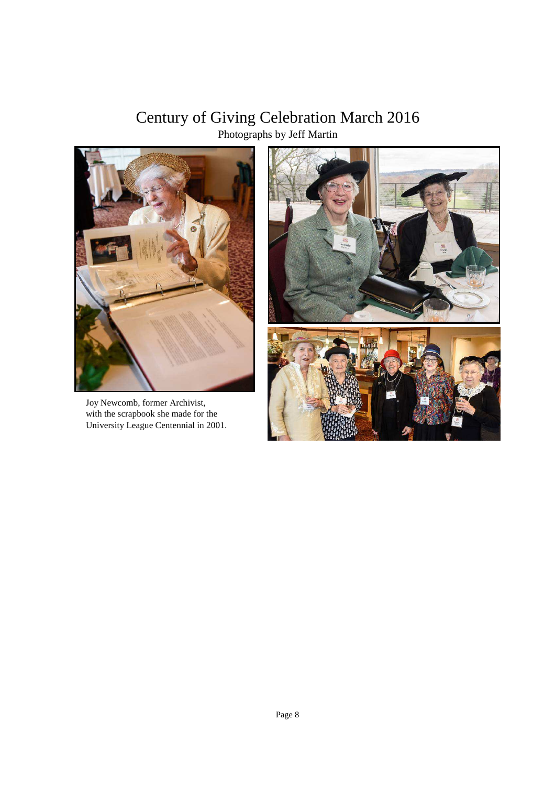## Century of Giving Celebration March 2016 Photographs by Jeff Martin



 Joy Newcomb, former Archivist, with the scrapbook she made for the University League Centennial in 2001.

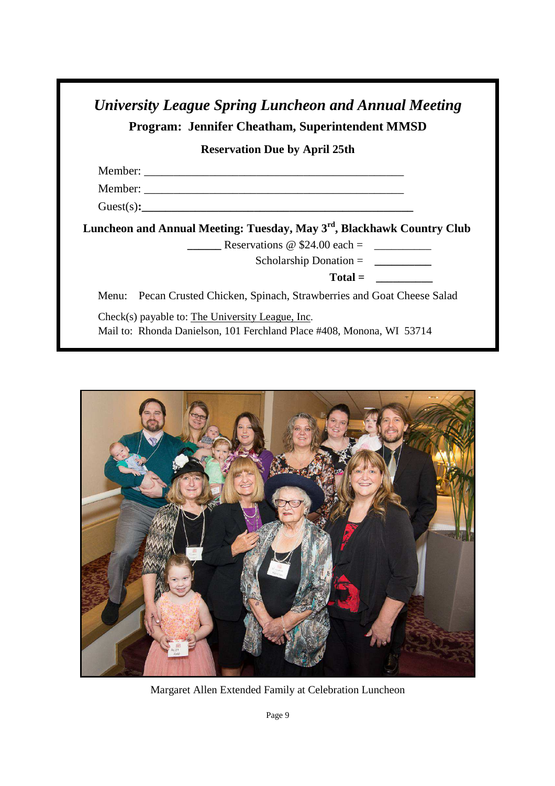| <b>Reservation Due by April 25th</b>                                                                                       |
|----------------------------------------------------------------------------------------------------------------------------|
|                                                                                                                            |
|                                                                                                                            |
|                                                                                                                            |
|                                                                                                                            |
| Luncheon and Annual Meeting: Tuesday, May 3 <sup>rd</sup> , Blackhawk Country Club<br>Reservations $\omega$ \$24.00 each = |
| Scholarship Donation = $\qquad \qquad$                                                                                     |
| $Total =$                                                                                                                  |



Margaret Allen Extended Family at Celebration Luncheon